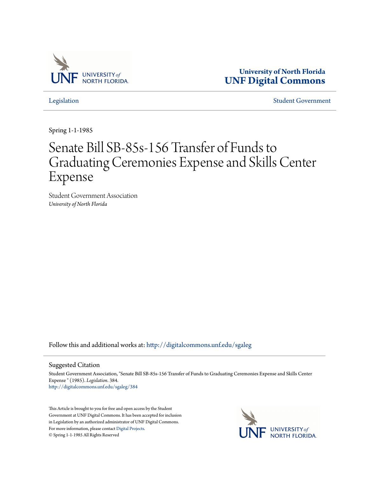

**University of North Florida [UNF Digital Commons](http://digitalcommons.unf.edu?utm_source=digitalcommons.unf.edu%2Fsgaleg%2F384&utm_medium=PDF&utm_campaign=PDFCoverPages)**

[Legislation](http://digitalcommons.unf.edu/sgaleg?utm_source=digitalcommons.unf.edu%2Fsgaleg%2F384&utm_medium=PDF&utm_campaign=PDFCoverPages) [Student Government](http://digitalcommons.unf.edu/sga?utm_source=digitalcommons.unf.edu%2Fsgaleg%2F384&utm_medium=PDF&utm_campaign=PDFCoverPages)

Spring 1-1-1985

## Senate Bill SB-85s-156 Transfer of Funds to Graduating Ceremonies Expense and Skills Center Expense

Student Government Association *University of North Florida*

Follow this and additional works at: [http://digitalcommons.unf.edu/sgaleg](http://digitalcommons.unf.edu/sgaleg?utm_source=digitalcommons.unf.edu%2Fsgaleg%2F384&utm_medium=PDF&utm_campaign=PDFCoverPages)

## Suggested Citation

Student Government Association, "Senate Bill SB-85s-156 Transfer of Funds to Graduating Ceremonies Expense and Skills Center Expense " (1985). *Legislation*. 384. [http://digitalcommons.unf.edu/sgaleg/384](http://digitalcommons.unf.edu/sgaleg/384?utm_source=digitalcommons.unf.edu%2Fsgaleg%2F384&utm_medium=PDF&utm_campaign=PDFCoverPages)

This Article is brought to you for free and open access by the Student Government at UNF Digital Commons. It has been accepted for inclusion in Legislation by an authorized administrator of UNF Digital Commons. For more information, please contact [Digital Projects](mailto:lib-digital@unf.edu). © Spring 1-1-1985 All Rights Reserved